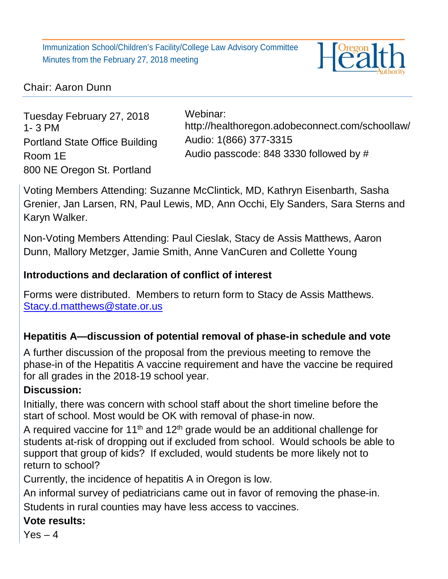Immunization School/Children's Facility/College Law Advisory Committee Minutes from the February 27, 2018 meeting



## Chair: Aaron Dunn

Tuesday February 27, 2018 1- 3 PM Portland State Office Building Room 1E 800 NE Oregon St. Portland

Webinar: <http://healthoregon.adobeconnect.com/schoollaw/> Audio: 1(866) 377-3315 Audio passcode: 848 3330 followed by #

Voting Members Attending: Suzanne McClintick, MD, Kathryn Eisenbarth, Sasha Grenier, Jan Larsen, RN, Paul Lewis, MD, Ann Occhi, Ely Sanders, Sara Sterns and Karyn Walker.

Non-Voting Members Attending: Paul Cieslak, Stacy de Assis Matthews, Aaron Dunn, Mallory Metzger, Jamie Smith, Anne VanCuren and Collette Young

## **Introductions and declaration of conflict of interest**

Forms were distributed. Members to return form to Stacy de Assis Matthews. [Stacy.d.matthews@state.or.us](mailto:Stacy.d.matthews@state.or.us)

# **Hepatitis A—discussion of potential removal of phase-in schedule and vote**

A further discussion of the proposal from the previous meeting to remove the phase-in of the Hepatitis A vaccine requirement and have the vaccine be required for all grades in the 2018-19 school year.

## **Discussion:**

Initially, there was concern with school staff about the short timeline before the start of school. Most would be OK with removal of phase-in now.

A required vaccine for 11<sup>th</sup> and 12<sup>th</sup> grade would be an additional challenge for students at-risk of dropping out if excluded from school. Would schools be able to support that group of kids? If excluded, would students be more likely not to return to school?

Currently, the incidence of hepatitis A in Oregon is low.

An informal survey of pediatricians came out in favor of removing the phase-in. Students in rural counties may have less access to vaccines.

# **Vote results:**

 $Yes - 4$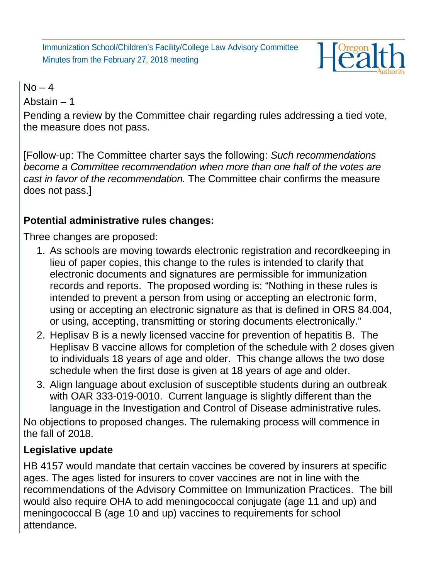Immunization School/Children's Facility/College Law Advisory Committee Minutes from the February 27, 2018 meeting



#### $No - 4$

Abstain – 1

Pending a review by the Committee chair regarding rules addressing a tied vote, the measure does not pass.

[Follow-up: The Committee charter says the following: *Such recommendations become a Committee recommendation when more than one half of the votes are cast in favor of the recommendation.* The Committee chair confirms the measure does not pass.]

# **Potential administrative rules changes:**

Three changes are proposed:

- 1. As schools are moving towards electronic registration and recordkeeping in lieu of paper copies, this change to the rules is intended to clarify that electronic documents and signatures are permissible for immunization records and reports. The proposed wording is: "Nothing in these rules is intended to prevent a person from using or accepting an electronic form, using or accepting an electronic signature as that is defined in ORS 84.004, or using, accepting, transmitting or storing documents electronically."
- 2. Heplisav B is a newly licensed vaccine for prevention of hepatitis B. The Heplisav B vaccine allows for completion of the schedule with 2 doses given to individuals 18 years of age and older. This change allows the two dose schedule when the first dose is given at 18 years of age and older.
- 3. Align language about exclusion of susceptible students during an outbreak with OAR 333-019-0010. Current language is slightly different than the language in the Investigation and Control of Disease administrative rules.

No objections to proposed changes. The rulemaking process will commence in the fall of 2018.

# **Legislative update**

HB 4157 would mandate that certain vaccines be covered by insurers at specific ages. The ages listed for insurers to cover vaccines are not in line with the recommendations of the Advisory Committee on Immunization Practices. The bill would also require OHA to add meningococcal conjugate (age 11 and up) and meningococcal B (age 10 and up) vaccines to requirements for school attendance.